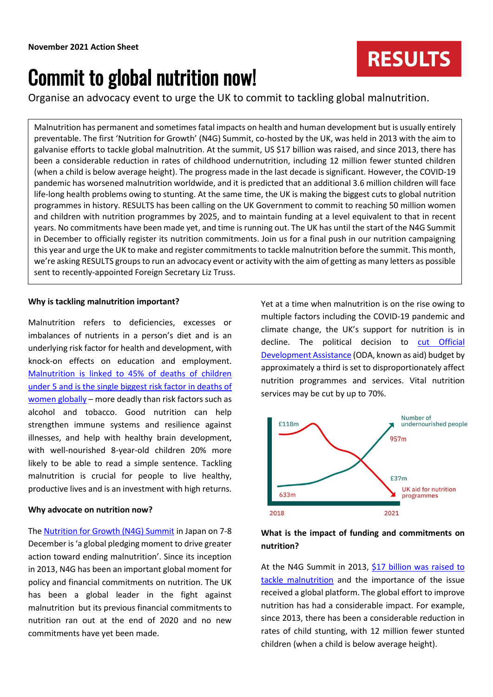# Commit to global nutrition now!

Organise an advocacy event to urge the UK to commit to tackling global malnutrition.

Malnutrition has permanent and sometimes fatal impacts on health and human development but is usually entirely preventable. The first 'Nutrition for Growth' (N4G) Summit, co-hosted by the UK, was held in 2013 with the aim to galvanise efforts to tackle global malnutrition. At the summit, US \$17 billion was raised, and since 2013, there has been a considerable reduction in rates of childhood undernutrition, including 12 million fewer stunted children (when a child is below average height). The progress made in the last decade is significant. However, the COVID-19 pandemic has worsened malnutrition worldwide, and it is predicted that an additional 3.6 million children will face life-long health problems owing to stunting. At the same time, the UK is making the biggest cuts to global nutrition programmes in history. RESULTS has been calling on the UK Government to commit to reaching 50 million women and children with nutrition programmes by 2025, and to maintain funding at a level equivalent to that in recent years. No commitments have been made yet, and time is running out. The UK has until the start of the N4G Summit in December to officially register its nutrition commitments. Join us for a final push in our nutrition campaigning this year and urge the UK to make and register commitments to tackle malnutrition before the summit. This month, we're asking RESULTS groups to run an advocacy event or activity with the aim of getting as many letters as possible sent to recently-appointed Foreign Secretary Liz Truss.

## **Why is tackling malnutrition important?**

Malnutrition refers to deficiencies, excesses or imbalances of nutrients in a person's diet and is an underlying risk factor for health and development, with knock-on effects on education and employment. [Malnutrition is linked to 45% of deaths of children](https://www.results.org.uk/sites/default/files/files/ICAN%20UK%20-%20Time%20for%20Action.pdf) [under 5 and is the single biggest risk factor in deaths of](https://www.results.org.uk/sites/default/files/files/ICAN%20UK%20-%20Time%20for%20Action.pdf)  [women globally](https://www.results.org.uk/sites/default/files/files/ICAN%20UK%20-%20Time%20for%20Action.pdf) – more deadly than risk factors such as alcohol and tobacco. Good nutrition can help strengthen immune systems and resilience against illnesses, and help with healthy brain development, with well-nourished 8-year-old children 20% more likely to be able to read a simple sentence. Tackling malnutrition is crucial for people to live healthy, productive lives and is an investment with high returns.

## **Why advocate on nutrition now?**

The [Nutrition for Growth \(N4G\) Summit](https://nutritionforgrowth.org/about/) in Japan on 7-8 December is 'a global pledging moment to drive greater action toward ending malnutrition'. Since its inception in 2013, N4G has been an important global moment for policy and financial commitments on nutrition. The UK has been a global leader in the fight against malnutrition but its previous financial commitments to nutrition ran out at the end of 2020 and no new commitments have yet been made.

Yet at a time when malnutrition is on the rise owing to multiple factors including the COVID-19 pandemic and climate change, the UK's support for nutrition is in decline. The political decision to [cut Official](https://www.results.org.uk/blog/%E2%80%9Ccallous-and-short-sighted%E2%80%9D-what-do-aid-cuts-mean-global-health-and-education)  [Development Assistance](https://www.results.org.uk/blog/%E2%80%9Ccallous-and-short-sighted%E2%80%9D-what-do-aid-cuts-mean-global-health-and-education) (ODA, known as aid) budget by approximately a third is set to disproportionately affect nutrition programmes and services. Vital nutrition services may be cut by up to 70%.

**RESULTS** 



# **What is the impact of funding and commitments on nutrition?**

At the N4G Summit in 2013, [\\$17 billion was raised to](https://www.results.org.uk/sites/default/files/files/ICAN%20UK%20-%20Time%20for%20Action.pdf)  [tackle malnutrition](https://www.results.org.uk/sites/default/files/files/ICAN%20UK%20-%20Time%20for%20Action.pdf) and the importance of the issue received a global platform. The global effort to improve nutrition has had a considerable impact. For example, since 2013, there has been a considerable reduction in rates of child stunting, with 12 million fewer stunted children (when a child is below average height).